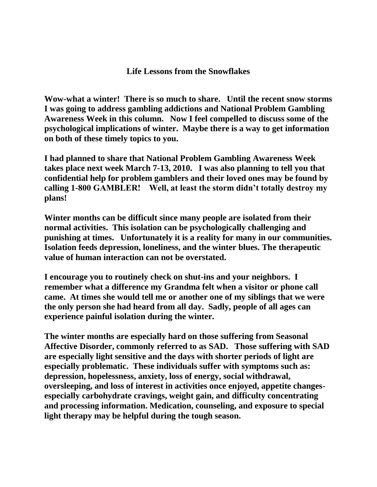## **Life Lessons from the Snowflakes**

**Wow-what a winter! There is so much to share. Until the recent snow storms I was going to address gambling addictions and National Problem Gambling Awareness Week in this column. Now I feel compelled to discuss some of the psychological implications of winter. Maybe there is a way to get information on both of these timely topics to you.** 

**I had planned to share that National Problem Gambling Awareness Week takes place next week March 7-13, 2010. I was also planning to tell you that confidential help for problem gamblers and their loved ones may be found by calling 1-800 GAMBLER! Well, at least the storm didn't totally destroy my plans!** 

**Winter months can be difficult since many people are isolated from their normal activities. This isolation can be psychologically challenging and punishing at times. Unfortunately it is a reality for many in our communities. Isolation feeds depression, loneliness, and the winter blues. The therapeutic value of human interaction can not be overstated.** 

**I encourage you to routinely check on shut-ins and your neighbors. I remember what a difference my Grandma felt when a visitor or phone call came. At times she would tell me or another one of my siblings that we were the only person she had heard from all day. Sadly, people of all ages can experience painful isolation during the winter.**

**The winter months are especially hard on those suffering from Seasonal Affective Disorder, commonly referred to as SAD. Those suffering with SAD are especially light sensitive and the days with shorter periods of light are especially problematic. These individuals suffer with symptoms such as: depression, hopelessness, anxiety, loss of energy, social withdrawal, oversleeping, and loss of interest in activities once enjoyed, appetite changesespecially carbohydrate cravings, weight gain, and difficulty concentrating and processing information. Medication, counseling, and exposure to special light therapy may be helpful during the tough season.**